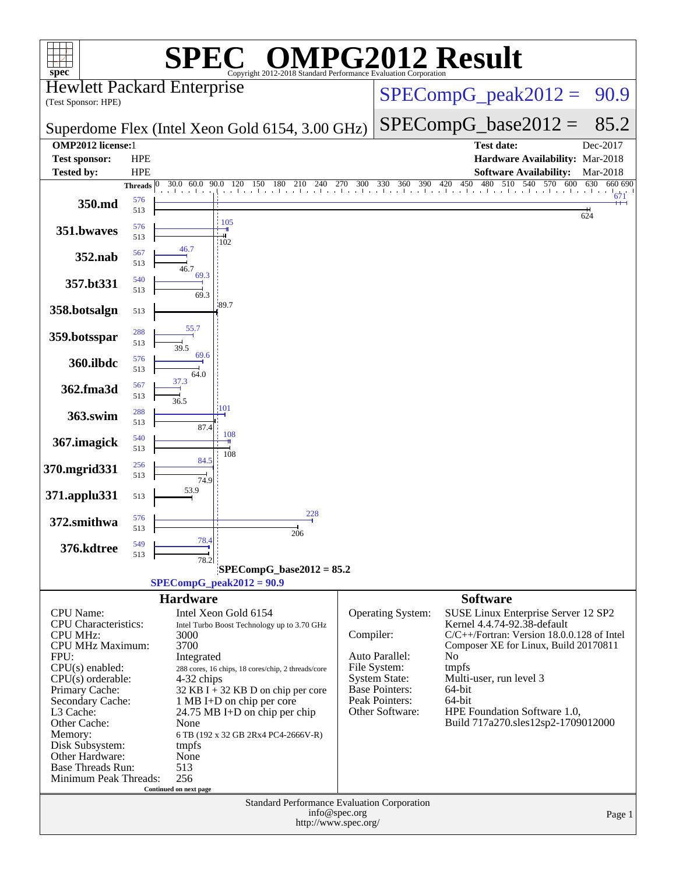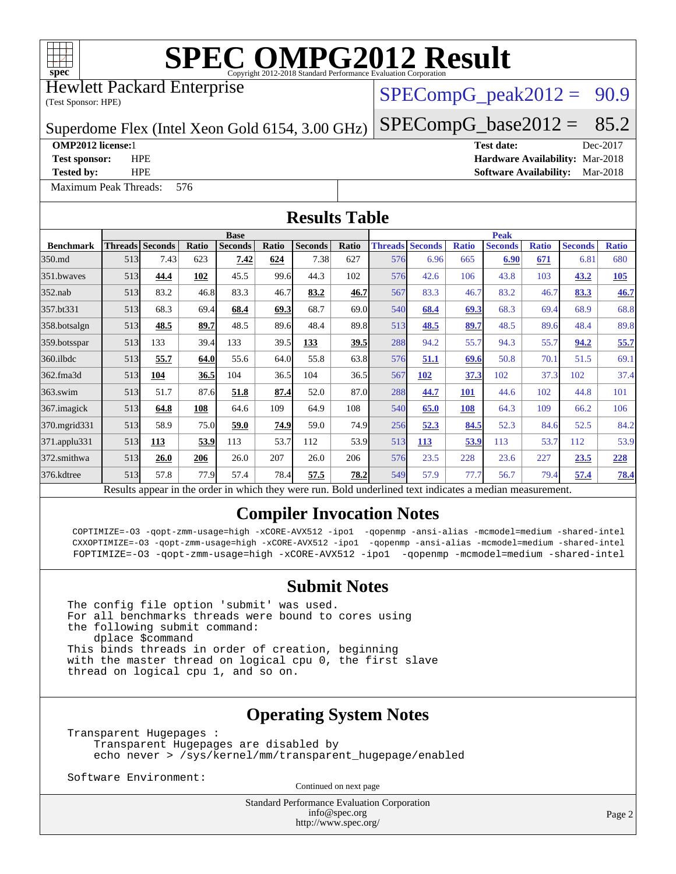

Hewlett Packard Enterprise

(Test Sponsor: HPE)

 $SPECompG_peak2012 = 90.9$  $SPECompG_peak2012 = 90.9$ 

Superdome Flex (Intel Xeon Gold 6154, 3.00 GHz)

[Maximum Peak Threads:](http://www.spec.org/auto/omp2012/Docs/result-fields.html#MaximumPeakThreads) 576

 $SPECompG_base2012 = 85.2$  $SPECompG_base2012 = 85.2$ **[OMP2012 license:](http://www.spec.org/auto/omp2012/Docs/result-fields.html#OMP2012license)**1 **[Test date:](http://www.spec.org/auto/omp2012/Docs/result-fields.html#Testdate)** Dec-2017 **[Test sponsor:](http://www.spec.org/auto/omp2012/Docs/result-fields.html#Testsponsor)** HPE **[Hardware Availability:](http://www.spec.org/auto/omp2012/Docs/result-fields.html#HardwareAvailability)** Mar-2018

**[Tested by:](http://www.spec.org/auto/omp2012/Docs/result-fields.html#Testedby)** HPE **[Software Availability:](http://www.spec.org/auto/omp2012/Docs/result-fields.html#SoftwareAvailability)** Mar-2018

**[Results Table](http://www.spec.org/auto/omp2012/Docs/result-fields.html#ResultsTable) [Benchmark](http://www.spec.org/auto/omp2012/Docs/result-fields.html#Benchmark) [Threads](http://www.spec.org/auto/omp2012/Docs/result-fields.html#Threads) [Seconds](http://www.spec.org/auto/omp2012/Docs/result-fields.html#Seconds) [Ratio](http://www.spec.org/auto/omp2012/Docs/result-fields.html#Ratio) [Seconds](http://www.spec.org/auto/omp2012/Docs/result-fields.html#Seconds) [Ratio](http://www.spec.org/auto/omp2012/Docs/result-fields.html#Ratio) [Seconds](http://www.spec.org/auto/omp2012/Docs/result-fields.html#Seconds) [Ratio](http://www.spec.org/auto/omp2012/Docs/result-fields.html#Ratio) Base [Threads](http://www.spec.org/auto/omp2012/Docs/result-fields.html#Threads) [Seconds](http://www.spec.org/auto/omp2012/Docs/result-fields.html#Seconds) [Ratio](http://www.spec.org/auto/omp2012/Docs/result-fields.html#Ratio) [Seconds](http://www.spec.org/auto/omp2012/Docs/result-fields.html#Seconds) [Ratio](http://www.spec.org/auto/omp2012/Docs/result-fields.html#Ratio) [Seconds](http://www.spec.org/auto/omp2012/Docs/result-fields.html#Seconds) [Ratio](http://www.spec.org/auto/omp2012/Docs/result-fields.html#Ratio) Peak** [350.md](http://www.spec.org/auto/omp2012/Docs/350.md.html) 513 7.43 623 **[7.42](http://www.spec.org/auto/omp2012/Docs/result-fields.html#Median) [624](http://www.spec.org/auto/omp2012/Docs/result-fields.html#Median)** 7.38 627 576 6.96 665 **[6.90](http://www.spec.org/auto/omp2012/Docs/result-fields.html#Median) [671](http://www.spec.org/auto/omp2012/Docs/result-fields.html#Median)** 6.81 680 [351.bwaves](http://www.spec.org/auto/omp2012/Docs/351.bwaves.html) 513 **[44.4](http://www.spec.org/auto/omp2012/Docs/result-fields.html#Median) [102](http://www.spec.org/auto/omp2012/Docs/result-fields.html#Median)** 45.5 99.6 44.3 102 576 42.6 106 43.8 103 **[43.2](http://www.spec.org/auto/omp2012/Docs/result-fields.html#Median) [105](http://www.spec.org/auto/omp2012/Docs/result-fields.html#Median)** [352.nab](http://www.spec.org/auto/omp2012/Docs/352.nab.html) 513 83.2 46.8 83.3 46.7 **[83.2](http://www.spec.org/auto/omp2012/Docs/result-fields.html#Median) [46.7](http://www.spec.org/auto/omp2012/Docs/result-fields.html#Median)** 567 83.3 46.7 83.2 46.7 **[83.3](http://www.spec.org/auto/omp2012/Docs/result-fields.html#Median) [46.7](http://www.spec.org/auto/omp2012/Docs/result-fields.html#Median)** [357.bt331](http://www.spec.org/auto/omp2012/Docs/357.bt331.html) 513 68.3 69.4 **[68.4](http://www.spec.org/auto/omp2012/Docs/result-fields.html#Median) [69.3](http://www.spec.org/auto/omp2012/Docs/result-fields.html#Median)** 68.7 69.0 540 **[68.4](http://www.spec.org/auto/omp2012/Docs/result-fields.html#Median) [69.3](http://www.spec.org/auto/omp2012/Docs/result-fields.html#Median)** 68.3 69.4 68.9 68.8 [358.botsalgn](http://www.spec.org/auto/omp2012/Docs/358.botsalgn.html) 513 **[48.5](http://www.spec.org/auto/omp2012/Docs/result-fields.html#Median) [89.7](http://www.spec.org/auto/omp2012/Docs/result-fields.html#Median)** 48.5 89.6 48.4 89.8 513 **[48.5](http://www.spec.org/auto/omp2012/Docs/result-fields.html#Median) [89.7](http://www.spec.org/auto/omp2012/Docs/result-fields.html#Median)** 48.5 89.6 48.4 89.8 [359.botsspar](http://www.spec.org/auto/omp2012/Docs/359.botsspar.html) 513 133 39.4 133 39.5 **[133](http://www.spec.org/auto/omp2012/Docs/result-fields.html#Median) [39.5](http://www.spec.org/auto/omp2012/Docs/result-fields.html#Median)** 288 94.2 55.7 94.3 55.7 **[94.2](http://www.spec.org/auto/omp2012/Docs/result-fields.html#Median) [55.7](http://www.spec.org/auto/omp2012/Docs/result-fields.html#Median)** [360.ilbdc](http://www.spec.org/auto/omp2012/Docs/360.ilbdc.html) 513 **[55.7](http://www.spec.org/auto/omp2012/Docs/result-fields.html#Median) [64.0](http://www.spec.org/auto/omp2012/Docs/result-fields.html#Median)** 55.6 64.0 55.8 63.8 576 **[51.1](http://www.spec.org/auto/omp2012/Docs/result-fields.html#Median) [69.6](http://www.spec.org/auto/omp2012/Docs/result-fields.html#Median)** 50.8 70.1 51.5 69.1 [362.fma3d](http://www.spec.org/auto/omp2012/Docs/362.fma3d.html) 513 **[104](http://www.spec.org/auto/omp2012/Docs/result-fields.html#Median) [36.5](http://www.spec.org/auto/omp2012/Docs/result-fields.html#Median)** 104 36.5 104 36.5 567 **[102](http://www.spec.org/auto/omp2012/Docs/result-fields.html#Median) [37.3](http://www.spec.org/auto/omp2012/Docs/result-fields.html#Median)** 102 37.3 102 37.4 [363.swim](http://www.spec.org/auto/omp2012/Docs/363.swim.html) 513 51.7 87.6 **[51.8](http://www.spec.org/auto/omp2012/Docs/result-fields.html#Median) [87.4](http://www.spec.org/auto/omp2012/Docs/result-fields.html#Median)** 52.0 87.0 288 **[44.7](http://www.spec.org/auto/omp2012/Docs/result-fields.html#Median) [101](http://www.spec.org/auto/omp2012/Docs/result-fields.html#Median)** 44.6 102 44.8 101 [367.imagick](http://www.spec.org/auto/omp2012/Docs/367.imagick.html) 513 **[64.8](http://www.spec.org/auto/omp2012/Docs/result-fields.html#Median) [108](http://www.spec.org/auto/omp2012/Docs/result-fields.html#Median)** 64.6 109 64.9 108 540 **[65.0](http://www.spec.org/auto/omp2012/Docs/result-fields.html#Median) [108](http://www.spec.org/auto/omp2012/Docs/result-fields.html#Median)** 64.3 109 66.2 106 [370.mgrid331](http://www.spec.org/auto/omp2012/Docs/370.mgrid331.html) 513 58.9 75.0 **[59.0](http://www.spec.org/auto/omp2012/Docs/result-fields.html#Median) [74.9](http://www.spec.org/auto/omp2012/Docs/result-fields.html#Median)** 59.0 74.9 256 **[52.3](http://www.spec.org/auto/omp2012/Docs/result-fields.html#Median) [84.5](http://www.spec.org/auto/omp2012/Docs/result-fields.html#Median)** 52.3 84.6 52.5 84.2 [371.applu331](http://www.spec.org/auto/omp2012/Docs/371.applu331.html) 513 **[113](http://www.spec.org/auto/omp2012/Docs/result-fields.html#Median) [53.9](http://www.spec.org/auto/omp2012/Docs/result-fields.html#Median)** 113 53.7 112 53.9 513 **[113](http://www.spec.org/auto/omp2012/Docs/result-fields.html#Median) [53.9](http://www.spec.org/auto/omp2012/Docs/result-fields.html#Median)** 113 53.7 112 53.9 [372.smithwa](http://www.spec.org/auto/omp2012/Docs/372.smithwa.html) 513 **[26.0](http://www.spec.org/auto/omp2012/Docs/result-fields.html#Median) [206](http://www.spec.org/auto/omp2012/Docs/result-fields.html#Median)** 26.0 207 26.0 206 576 23.5 228 23.6 227 **[23.5](http://www.spec.org/auto/omp2012/Docs/result-fields.html#Median) [228](http://www.spec.org/auto/omp2012/Docs/result-fields.html#Median)** [376.kdtree](http://www.spec.org/auto/omp2012/Docs/376.kdtree.html) 513 57.8 77.9 57.4 78.4 **[57.5](http://www.spec.org/auto/omp2012/Docs/result-fields.html#Median) [78.2](http://www.spec.org/auto/omp2012/Docs/result-fields.html#Median)** 549 57.9 77.7 56.7 79.4 **[57.4](http://www.spec.org/auto/omp2012/Docs/result-fields.html#Median) [78.4](http://www.spec.org/auto/omp2012/Docs/result-fields.html#Median)** Results appear in the [order in which they were run.](http://www.spec.org/auto/omp2012/Docs/result-fields.html#RunOrder) Bold underlined text [indicates a median measurement.](http://www.spec.org/auto/omp2012/Docs/result-fields.html#Median)

#### **[Compiler Invocation Notes](http://www.spec.org/auto/omp2012/Docs/result-fields.html#CompilerInvocationNotes)**

 COPTIMIZE=-O3 -qopt-zmm-usage=high -xCORE-AVX512 -ipo1 -qopenmp -ansi-alias -mcmodel=medium -shared-intel CXXOPTIMIZE=-O3 -qopt-zmm-usage=high -xCORE-AVX512 -ipo1 -qopenmp -ansi-alias -mcmodel=medium -shared-intel FOPTIMIZE=-O3 -qopt-zmm-usage=high -xCORE-AVX512 -ipo1 -qopenmp -mcmodel=medium -shared-intel

#### **[Submit Notes](http://www.spec.org/auto/omp2012/Docs/result-fields.html#SubmitNotes)**

The config file option 'submit' was used. For all benchmarks threads were bound to cores using the following submit command: dplace \$command This binds threads in order of creation, beginning with the master thread on logical cpu 0, the first slave thread on logical cpu 1, and so on.

### **[Operating System Notes](http://www.spec.org/auto/omp2012/Docs/result-fields.html#OperatingSystemNotes)**

Transparent Hugepages : Transparent Hugepages are disabled by echo never > /sys/kernel/mm/transparent\_hugepage/enabled

Software Environment:

Continued on next page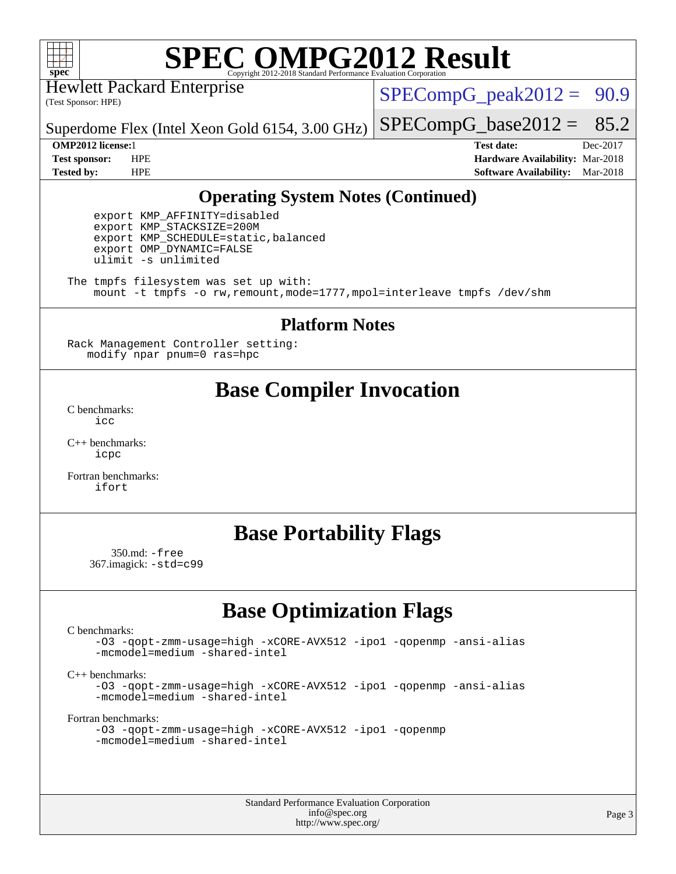

Hewlett Packard Enterprise

(Test Sponsor: HPE)

 $SPECompG_peak2012 = 90.9$  $SPECompG_peak2012 = 90.9$ 

 $SPECompG_base2012 = 85.2$  $SPECompG_base2012 = 85.2$ 

Superdome Flex (Intel Xeon Gold 6154, 3.00 GHz)

**[OMP2012 license:](http://www.spec.org/auto/omp2012/Docs/result-fields.html#OMP2012license)**1 **[Test date:](http://www.spec.org/auto/omp2012/Docs/result-fields.html#Testdate)** Dec-2017 **[Test sponsor:](http://www.spec.org/auto/omp2012/Docs/result-fields.html#Testsponsor)** HPE **[Hardware Availability:](http://www.spec.org/auto/omp2012/Docs/result-fields.html#HardwareAvailability)** Mar-2018 **[Tested by:](http://www.spec.org/auto/omp2012/Docs/result-fields.html#Testedby)** HPE **[Software Availability:](http://www.spec.org/auto/omp2012/Docs/result-fields.html#SoftwareAvailability)** Mar-2018

### **[Operating System Notes \(Continued\)](http://www.spec.org/auto/omp2012/Docs/result-fields.html#OperatingSystemNotes)**

 export KMP\_AFFINITY=disabled export KMP\_STACKSIZE=200M export KMP\_SCHEDULE=static,balanced export OMP\_DYNAMIC=FALSE ulimit -s unlimited

The tmpfs filesystem was set up with: mount -t tmpfs -o rw,remount,mode=1777,mpol=interleave tmpfs /dev/shm

#### **[Platform Notes](http://www.spec.org/auto/omp2012/Docs/result-fields.html#PlatformNotes)**

Rack Management Controller setting: modify npar pnum=0 ras=hpc

## **[Base Compiler Invocation](http://www.spec.org/auto/omp2012/Docs/result-fields.html#BaseCompilerInvocation)**

[C benchmarks](http://www.spec.org/auto/omp2012/Docs/result-fields.html#Cbenchmarks): [icc](http://www.spec.org/omp2012/results/res2018q1/omp2012-20171219-00137.flags.html#user_CCbase_intel_icc_a87c68a857bc5ec5362391a49d3a37a6)

[C++ benchmarks:](http://www.spec.org/auto/omp2012/Docs/result-fields.html#CXXbenchmarks) [icpc](http://www.spec.org/omp2012/results/res2018q1/omp2012-20171219-00137.flags.html#user_CXXbase_intel_icpc_2d899f8d163502b12eb4a60069f80c1c)

[Fortran benchmarks](http://www.spec.org/auto/omp2012/Docs/result-fields.html#Fortranbenchmarks): [ifort](http://www.spec.org/omp2012/results/res2018q1/omp2012-20171219-00137.flags.html#user_FCbase_intel_ifort_8a5e5e06b19a251bdeaf8fdab5d62f20)

## **[Base Portability Flags](http://www.spec.org/auto/omp2012/Docs/result-fields.html#BasePortabilityFlags)**

 350.md: [-free](http://www.spec.org/omp2012/results/res2018q1/omp2012-20171219-00137.flags.html#user_baseFPORTABILITY350_md_free) 367.imagick: [-std=c99](http://www.spec.org/omp2012/results/res2018q1/omp2012-20171219-00137.flags.html#user_baseCPORTABILITY367_imagick_std_2ec6533b6e06f1c4a6c9b78d9e9cde24)

## **[Base Optimization Flags](http://www.spec.org/auto/omp2012/Docs/result-fields.html#BaseOptimizationFlags)**

[C benchmarks](http://www.spec.org/auto/omp2012/Docs/result-fields.html#Cbenchmarks):

[-O3](http://www.spec.org/omp2012/results/res2018q1/omp2012-20171219-00137.flags.html#user_CCbase_f-O3) [-qopt-zmm-usage=high](http://www.spec.org/omp2012/results/res2018q1/omp2012-20171219-00137.flags.html#user_CCbase_f-qopt-zmm-usage_213d857421e75f2db2f896f7900465fb) [-xCORE-AVX512](http://www.spec.org/omp2012/results/res2018q1/omp2012-20171219-00137.flags.html#user_CCbase_f-xCORE-AVX512) [-ipo1](http://www.spec.org/omp2012/results/res2018q1/omp2012-20171219-00137.flags.html#user_CCbase_f-ipo_116921c2575d566c213f1dd5e08493d2) [-qopenmp](http://www.spec.org/omp2012/results/res2018q1/omp2012-20171219-00137.flags.html#user_CCbase_f-qopenmp) [-ansi-alias](http://www.spec.org/omp2012/results/res2018q1/omp2012-20171219-00137.flags.html#user_CCbase_f-ansi-alias) [-mcmodel=medium](http://www.spec.org/omp2012/results/res2018q1/omp2012-20171219-00137.flags.html#user_CCbase_f-mcmodel_3a41622424bdd074c4f0f2d2f224c7e5) [-shared-intel](http://www.spec.org/omp2012/results/res2018q1/omp2012-20171219-00137.flags.html#user_CCbase_f-shared-intel)

[C++ benchmarks:](http://www.spec.org/auto/omp2012/Docs/result-fields.html#CXXbenchmarks)

[-O3](http://www.spec.org/omp2012/results/res2018q1/omp2012-20171219-00137.flags.html#user_CXXbase_f-O3) [-qopt-zmm-usage=high](http://www.spec.org/omp2012/results/res2018q1/omp2012-20171219-00137.flags.html#user_CXXbase_f-qopt-zmm-usage_213d857421e75f2db2f896f7900465fb) [-xCORE-AVX512](http://www.spec.org/omp2012/results/res2018q1/omp2012-20171219-00137.flags.html#user_CXXbase_f-xCORE-AVX512) [-ipo1](http://www.spec.org/omp2012/results/res2018q1/omp2012-20171219-00137.flags.html#user_CXXbase_f-ipo_116921c2575d566c213f1dd5e08493d2) [-qopenmp](http://www.spec.org/omp2012/results/res2018q1/omp2012-20171219-00137.flags.html#user_CXXbase_f-qopenmp) [-ansi-alias](http://www.spec.org/omp2012/results/res2018q1/omp2012-20171219-00137.flags.html#user_CXXbase_f-ansi-alias) [-mcmodel=medium](http://www.spec.org/omp2012/results/res2018q1/omp2012-20171219-00137.flags.html#user_CXXbase_f-mcmodel_3a41622424bdd074c4f0f2d2f224c7e5) [-shared-intel](http://www.spec.org/omp2012/results/res2018q1/omp2012-20171219-00137.flags.html#user_CXXbase_f-shared-intel)

[Fortran benchmarks](http://www.spec.org/auto/omp2012/Docs/result-fields.html#Fortranbenchmarks):

```
-O3 -qopt-zmm-usage=high -xCORE-AVX512 -ipo1 -qopenmp
-mcmodel=medium -shared-intel
```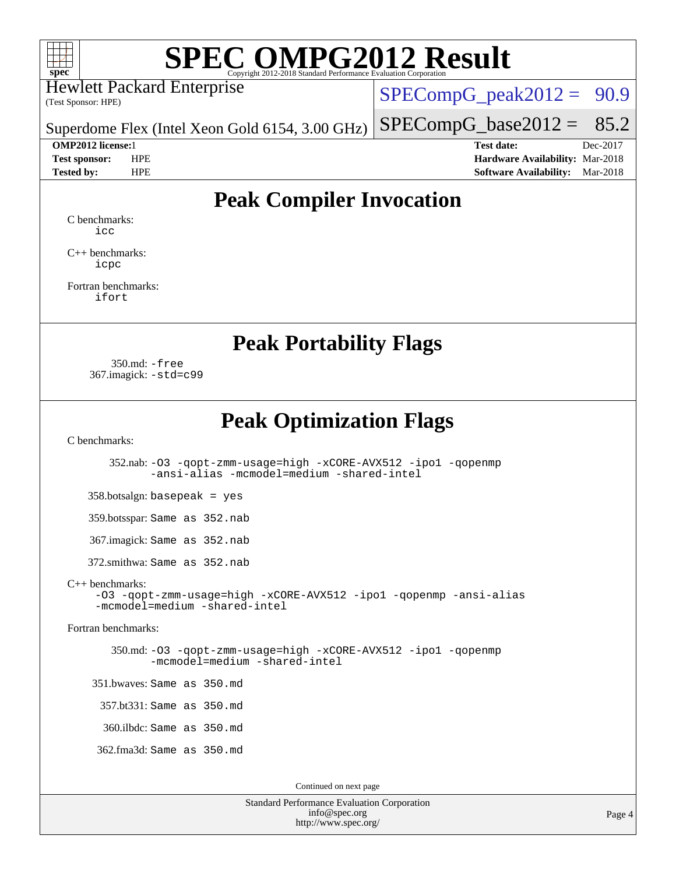

Hewlett Packard Enterprise

(Test Sponsor: HPE)

 $SPECompG_peak2012 = 90.9$  $SPECompG_peak2012 = 90.9$ 

 $SPECompG_base2012 = 85.2$  $SPECompG_base2012 = 85.2$ 

Superdome Flex (Intel Xeon Gold 6154, 3.00 GHz)

**[OMP2012 license:](http://www.spec.org/auto/omp2012/Docs/result-fields.html#OMP2012license)**1 **[Test date:](http://www.spec.org/auto/omp2012/Docs/result-fields.html#Testdate)** Dec-2017 **[Test sponsor:](http://www.spec.org/auto/omp2012/Docs/result-fields.html#Testsponsor)** HPE **[Hardware Availability:](http://www.spec.org/auto/omp2012/Docs/result-fields.html#HardwareAvailability)** Mar-2018 **[Tested by:](http://www.spec.org/auto/omp2012/Docs/result-fields.html#Testedby)** HPE **[Software Availability:](http://www.spec.org/auto/omp2012/Docs/result-fields.html#SoftwareAvailability)** Mar-2018

## **[Peak Compiler Invocation](http://www.spec.org/auto/omp2012/Docs/result-fields.html#PeakCompilerInvocation)**

[C benchmarks](http://www.spec.org/auto/omp2012/Docs/result-fields.html#Cbenchmarks): [icc](http://www.spec.org/omp2012/results/res2018q1/omp2012-20171219-00137.flags.html#user_CCpeak_intel_icc_a87c68a857bc5ec5362391a49d3a37a6)

[C++ benchmarks:](http://www.spec.org/auto/omp2012/Docs/result-fields.html#CXXbenchmarks) [icpc](http://www.spec.org/omp2012/results/res2018q1/omp2012-20171219-00137.flags.html#user_CXXpeak_intel_icpc_2d899f8d163502b12eb4a60069f80c1c)

[Fortran benchmarks](http://www.spec.org/auto/omp2012/Docs/result-fields.html#Fortranbenchmarks): [ifort](http://www.spec.org/omp2012/results/res2018q1/omp2012-20171219-00137.flags.html#user_FCpeak_intel_ifort_8a5e5e06b19a251bdeaf8fdab5d62f20)

**[Peak Portability Flags](http://www.spec.org/auto/omp2012/Docs/result-fields.html#PeakPortabilityFlags)**

 350.md: [-free](http://www.spec.org/omp2012/results/res2018q1/omp2012-20171219-00137.flags.html#user_peakFPORTABILITY350_md_free) 367.imagick: [-std=c99](http://www.spec.org/omp2012/results/res2018q1/omp2012-20171219-00137.flags.html#user_peakCPORTABILITY367_imagick_std_2ec6533b6e06f1c4a6c9b78d9e9cde24)

**[Peak Optimization Flags](http://www.spec.org/auto/omp2012/Docs/result-fields.html#PeakOptimizationFlags)**

[C benchmarks](http://www.spec.org/auto/omp2012/Docs/result-fields.html#Cbenchmarks):

 352.nab: [-O3](http://www.spec.org/omp2012/results/res2018q1/omp2012-20171219-00137.flags.html#user_peakCOPTIMIZE352_nab_f-O3) [-qopt-zmm-usage=high](http://www.spec.org/omp2012/results/res2018q1/omp2012-20171219-00137.flags.html#user_peakCOPTIMIZE352_nab_f-qopt-zmm-usage_213d857421e75f2db2f896f7900465fb) [-xCORE-AVX512](http://www.spec.org/omp2012/results/res2018q1/omp2012-20171219-00137.flags.html#user_peakCOPTIMIZE352_nab_f-xCORE-AVX512) [-ipo1](http://www.spec.org/omp2012/results/res2018q1/omp2012-20171219-00137.flags.html#user_peakCOPTIMIZE352_nab_f-ipo_116921c2575d566c213f1dd5e08493d2) [-qopenmp](http://www.spec.org/omp2012/results/res2018q1/omp2012-20171219-00137.flags.html#user_peakCOPTIMIZE352_nab_f-qopenmp) [-ansi-alias](http://www.spec.org/omp2012/results/res2018q1/omp2012-20171219-00137.flags.html#user_peakCOPTIMIZE352_nab_f-ansi-alias) [-mcmodel=medium](http://www.spec.org/omp2012/results/res2018q1/omp2012-20171219-00137.flags.html#user_peakCOPTIMIZE352_nab_f-mcmodel_3a41622424bdd074c4f0f2d2f224c7e5) [-shared-intel](http://www.spec.org/omp2012/results/res2018q1/omp2012-20171219-00137.flags.html#user_peakCOPTIMIZE352_nab_f-shared-intel)

358.botsalgn: basepeak = yes

359.botsspar: Same as 352.nab

367.imagick: Same as 352.nab

372.smithwa: Same as 352.nab

[C++ benchmarks:](http://www.spec.org/auto/omp2012/Docs/result-fields.html#CXXbenchmarks)

[-O3](http://www.spec.org/omp2012/results/res2018q1/omp2012-20171219-00137.flags.html#user_CXXpeak_f-O3) [-qopt-zmm-usage=high](http://www.spec.org/omp2012/results/res2018q1/omp2012-20171219-00137.flags.html#user_CXXpeak_f-qopt-zmm-usage_213d857421e75f2db2f896f7900465fb) [-xCORE-AVX512](http://www.spec.org/omp2012/results/res2018q1/omp2012-20171219-00137.flags.html#user_CXXpeak_f-xCORE-AVX512) [-ipo1](http://www.spec.org/omp2012/results/res2018q1/omp2012-20171219-00137.flags.html#user_CXXpeak_f-ipo_116921c2575d566c213f1dd5e08493d2) [-qopenmp](http://www.spec.org/omp2012/results/res2018q1/omp2012-20171219-00137.flags.html#user_CXXpeak_f-qopenmp) [-ansi-alias](http://www.spec.org/omp2012/results/res2018q1/omp2012-20171219-00137.flags.html#user_CXXpeak_f-ansi-alias) [-mcmodel=medium](http://www.spec.org/omp2012/results/res2018q1/omp2012-20171219-00137.flags.html#user_CXXpeak_f-mcmodel_3a41622424bdd074c4f0f2d2f224c7e5) [-shared-intel](http://www.spec.org/omp2012/results/res2018q1/omp2012-20171219-00137.flags.html#user_CXXpeak_f-shared-intel)

[Fortran benchmarks](http://www.spec.org/auto/omp2012/Docs/result-fields.html#Fortranbenchmarks):

 350.md: [-O3](http://www.spec.org/omp2012/results/res2018q1/omp2012-20171219-00137.flags.html#user_peakFOPTIMIZE350_md_f-O3) [-qopt-zmm-usage=high](http://www.spec.org/omp2012/results/res2018q1/omp2012-20171219-00137.flags.html#user_peakFOPTIMIZE350_md_f-qopt-zmm-usage_213d857421e75f2db2f896f7900465fb) [-xCORE-AVX512](http://www.spec.org/omp2012/results/res2018q1/omp2012-20171219-00137.flags.html#user_peakFOPTIMIZE350_md_f-xCORE-AVX512) [-ipo1](http://www.spec.org/omp2012/results/res2018q1/omp2012-20171219-00137.flags.html#user_peakFOPTIMIZE350_md_f-ipo_116921c2575d566c213f1dd5e08493d2) [-qopenmp](http://www.spec.org/omp2012/results/res2018q1/omp2012-20171219-00137.flags.html#user_peakFOPTIMIZE350_md_f-qopenmp) [-mcmodel=medium](http://www.spec.org/omp2012/results/res2018q1/omp2012-20171219-00137.flags.html#user_peakFOPTIMIZE350_md_f-mcmodel_3a41622424bdd074c4f0f2d2f224c7e5) [-shared-intel](http://www.spec.org/omp2012/results/res2018q1/omp2012-20171219-00137.flags.html#user_peakFOPTIMIZE350_md_f-shared-intel)

 351.bwaves: Same as 350.md 357.bt331: Same as 350.md

360.ilbdc: Same as 350.md

362.fma3d: Same as 350.md

Continued on next page